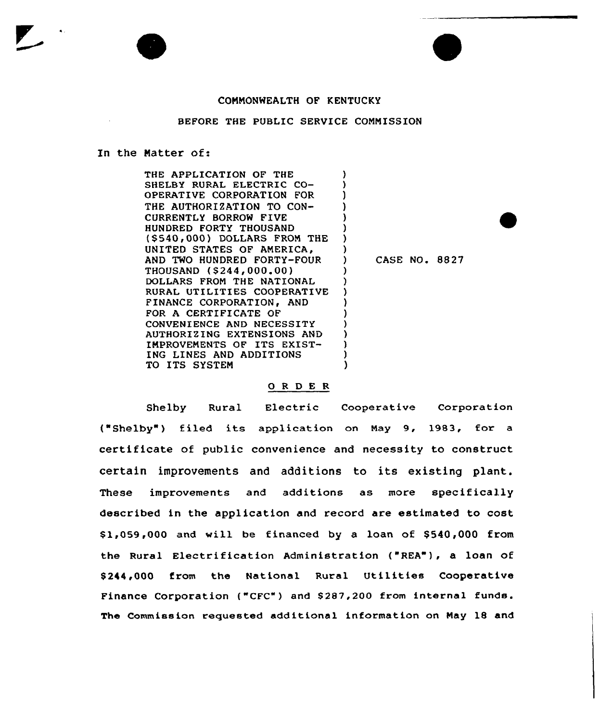## COMMONWEALTH OF KENTUCKY

## BEFORE THE PUBLIC SERVICE COMMISSION

## In the Natter of:

THE APPLICATION OF THE SHELBY RURAL ELECTRIC CO-OPERATIVE CORPORATION FOR THE AUTHORIZATION TO CON-CURRENTLY BORROW FIVE HUNDRED FORTY THOUSAND (\$540,000) DOLLARS FROM THE UNITED STATES OF AMERICA, AND TWO HUNDRED FORTY-POUR THOUSAND (\$244,000,00) DOLLARS FROM THE NATIONAL RURAL UTILITIES COOPERATIVE FINANCE CORPORATION, AND FOR A CERTIFICATE OF CONVENIENCE AND NECESSITY AUTHORIZING EXTENSIONS AND IMPROVEMENTS OF ITS EXIST-ING LINES AND ADDITIONS TO ITS SYSTEM ) ) ) ) ) ) ) ) ) CASE NO. 8827 ) ) ) ) ) ) ) ) ) )

## 0 <sup>R</sup> <sup>D</sup> E R

Shelby Rural Electric Cooperative Corporation ("Shelby") filed its application on May 9, 1983, for a certificate of public convenience and necessity to construct certain improvements and additions to its existing plant. These improvements and additions as more specifically described in the application and record are estimated to cost  $$1,059,000$  and will be financed by a loan of  $$540,000$  from the Rural Electrification Administration ("REA"), a loan of \$ 244,000 from the National Rural Utilities Cooperative Finance Corporation ("CFC") and S287,200 from internal funds. The Commission requested additional information on May 18 and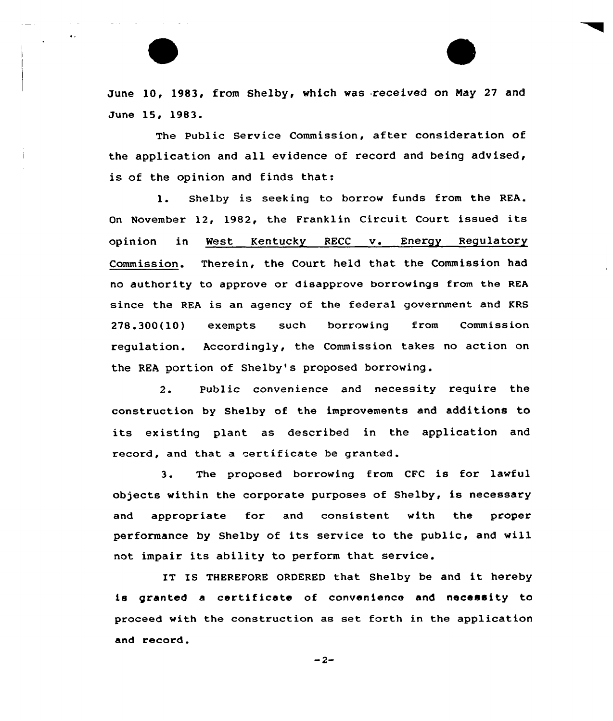June 10, 1983, from Shelby, which was received on Nay 27 and June 15, 1983.

The Public Service Commission, after consideration of the application and all evidence of record and being advised, is of the opinion and finds that:

1. Shelby is seeking to borrow funds from the REA. On November 12, 1982, the Franklin Circuit Court issued its opinion in West Kentucky RECC v. Energy Regulatory Commission. Therein, the Court held that the Commission had no authority to approve or disapprove borrowings from the REA since the REA is an agency of the federal government and KRS 278.300(10) exempts such borrowing from Commission regulation. Accordingly, the Commission takes no action on the REA portion of Shelby's proposed borrowing.

2. Public ccnvenience and necessity require the construction by Shelby of the improvements and additions to its existing plant as described in the application and record, and that a certificate be granted.

3. The proposed borrowing from CFC is for lawful objects within the corporate purposes of Shelby, is necessary and appropriate for and consistent with the proper performance by Shelby of its service to the public, and will not impair its ability to perform that service.

IT IS THEREFORE ORDERED that Shelby be and it hereby is granted a certificate of convenience and necessity ta proceed with the canstruction as set forth in the application and recard.

 $-2-$